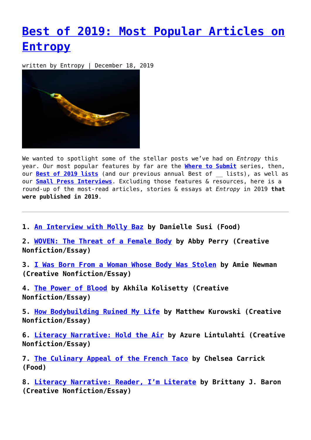## **[Best of 2019: Most Popular Articles on](https://entropymag.org/best-of-2019-most-popular-articles-on-entropy/) [Entropy](https://entropymag.org/best-of-2019-most-popular-articles-on-entropy/)**

written by Entropy | December 18, 2019



We wanted to spotlight some of the stellar posts we've had on *Entropy* this year. Our most popular features by far are the **[Where to Submit](https://entropymag.org/category/where-to-submit/)** series, then, our **[Best of 2019 lists](https://entropymag.org/tag/best-of-2019/)** (and our previous annual Best of \_\_ lists), as well as our **[Small Press Interviews](https://entropymag.org/small-press-database/)**. Excluding those features & resources, here is a round-up of the most-read articles, stories & essays at *Entropy* in 2019 **that were published in 2019**.

**1. [An Interview with Molly Baz](https://entropymag.org/interview-with-molly-baz/) by Danielle Susi (Food)**

**2. [WOVEN: The Threat of a Female Body](https://entropymag.org/woven-the-threat-of-a-female-body/) by Abby Perry (Creative Nonfiction/Essay)**

**3. [I Was Born From a Woman Whose Body Was Stolen](https://entropymag.org/i-was-born-from-a-woman-whose-body-was-stolen/) by Amie Newman (Creative Nonfiction/Essay)**

**4. [The Power of Blood](https://entropymag.org/i-was-born-from-a-woman-whose-body-was-stolen/) by Akhila Kolisetty (Creative Nonfiction/Essay)**

**5. [How Bodybuilding Ruined My Life](https://entropymag.org/how-bodybuilding-ruined-my-life/) by Matthew Kurowski (Creative Nonfiction/Essay)**

**6. [Literacy Narrative: Hold the Air](https://entropymag.org/literacy-narrative-hold-the-air/) by Azure Lintulahti (Creative Nonfiction/Essay)**

**7. [The Culinary Appeal of the French Taco](https://entropymag.org/the-culinary-appeal-of-the-french-taco/) by Chelsea Carrick (Food)**

**8. [Literacy Narrative: Reader, I'm Literate](https://entropymag.org/literacy-narrative-reader-im-literate/) by Brittany J. Baron (Creative Nonfiction/Essay)**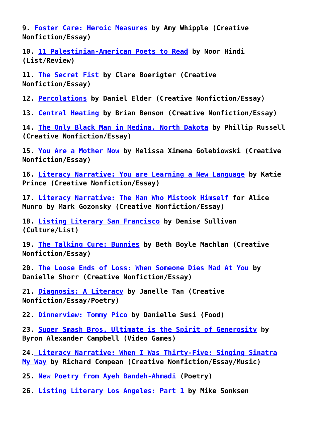**9. [Foster Care: Heroic Measures](https://entropymag.org/foster-care-heroic-measures/) by Amy Whipple (Creative Nonfiction/Essay)**

**10. [11 Palestinian-American Poets to Read](https://entropymag.org/11-palestinian-american-poets-to-read/) by Noor Hindi (List/Review)**

**11. [The Secret Fist](https://entropymag.org/the-secret-fist/) by Clare Boerigter (Creative Nonfiction/Essay)**

**12. [Percolations](https://entropymag.org/percolations/) by Daniel Elder (Creative Nonfiction/Essay)**

**13. [Central Heating](https://entropymag.org/central-heating/) by Brian Benson (Creative Nonfiction/Essay)**

**14. [The Only Black Man in Medina, North Dakota](https://entropymag.org/the-only-black-man-in-medina-north-dakota/) by Phillip Russell (Creative Nonfiction/Essay)**

**15. [You Are a Mother Now](https://entropymag.org/you-are-a-mother-now/) by Melissa Ximena Golebiowski (Creative Nonfiction/Essay)**

**16. [Literacy Narrative: You are Learning a New Language](https://entropymag.org/literacy-narrative-you-are-learning-a-new-language/) by Katie Prince (Creative Nonfiction/Essay)**

**17. [Literacy Narrative: The Man Who Mistook Himself](https://entropymag.org/literacy-narrative-the-man-who-mistook-himself-for-alice-munro/) for Alice Munro by Mark Gozonsky (Creative Nonfiction/Essay)**

**18. [Listing Literary San Francisco](https://entropymag.org/listing-literary-san-francisco/) by Denise Sullivan (Culture/List)**

**19. [The Talking Cure: Bunnies](https://entropymag.org/the-talking-cure-bunnies/) by Beth Boyle Machlan (Creative Nonfiction/Essay)**

**20. [The Loose Ends of Loss: When Someone Dies Mad At You](https://entropymag.org/the-loose-ends-of-loss-when-someone-dies-mad-at-you/) by Danielle Shorr (Creative Nonfiction/Essay)**

**21. [Diagnosis: A Literacy](https://entropymag.org/diagnosis-a-literacy/) by Janelle Tan (Creative Nonfiction/Essay/Poetry)**

**22. [Dinnerview: Tommy Pico](https://entropymag.org/dinnerview-tommy-pico/) by Danielle Susi (Food)**

**23. [Super Smash Bros. Ultimate is the Spirit of Generosity](https://entropymag.org/super-smash-bros-ultimate-is-the-spirit-of-generosity/) by Byron Alexander Campbell (Video Games)**

**24. [Literacy Narrative: When I Was Thirty-Five: Singing Sinatra](https://entropymag.org/literacy-narrative-when-i-was-thirty-five-singing-sinatra-my-way/) [My Way](https://entropymag.org/literacy-narrative-when-i-was-thirty-five-singing-sinatra-my-way/) by Richard Compean (Creative Nonfiction/Essay/Music)**

**25. [New Poetry from Ayeh Bandeh-Ahmadi](https://entropymag.org/new-poetry-from-ayeh-bandeh-ahmadi/) (Poetry)**

**26. [Listing Literary Los Angeles: Part 1](https://entropymag.org/listing-literary-los-angeles-part-1/) by Mike Sonksen**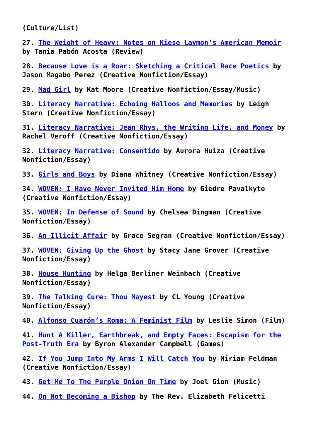**(Culture/List)**

**27. [The Weight of Heavy: Notes on Kiese Laymon's American Memoir](https://entropymag.org/heavy-kiese-laymon/) by Tania Pabón Acosta (Review)**

**28. [Because Love is a Roar: Sketching a Critical Race Poetics](https://entropymag.org/because-love-is-a-roar-sketching-a-critical-race-poetics/) by Jason Magabo Perez (Creative Nonfiction/Essay)**

**29. [Mad Girl](https://entropymag.org/mad-girl/) by Kat Moore (Creative Nonfiction/Essay/Music)**

**30. [Literacy Narrative: Echoing Halloos and Memories](https://entropymag.org/literacy-narrative-echoing-halloos-and-memories/) by Leigh Stern (Creative Nonfiction/Essay)**

**31. [Literacy Narrative: Jean Rhys, the Writing Life, and Money](https://entropymag.org/literacy-narrative-jean-rhys-the-writing-life-and-money/) by Rachel Veroff (Creative Nonfiction/Essay)**

**32. [Literacy Narrative: Consentido](https://entropymag.org/literacy-narrative-consentido/) by Aurora Huiza (Creative Nonfiction/Essay)**

**33. [Girls and Boys](https://entropymag.org/girls-and-boys/) by Diana Whitney (Creative Nonfiction/Essay)**

**34. [WOVEN: I Have Never Invited Him Home](https://entropymag.org/woven-i-have-never-invited-him-home/) by Giedre Pavalkyte (Creative Nonfiction/Essay)**

**35. [WOVEN: In Defense of Sound](https://entropymag.org/woven-in-defense-of-sound/) by Chelsea Dingman (Creative Nonfiction/Essay)**

**36. [An Illicit Affair](https://entropymag.org/an-illicit-affair/) by Grace Segran (Creative Nonfiction/Essay)**

**37. [WOVEN: Giving Up the Ghost](https://entropymag.org/woven-giving-up-the-ghost/) by Stacy Jane Grover (Creative Nonfiction/Essay)**

**38. [House Hunting](https://entropymag.org/house-hunting/) by Helga Berliner Weinbach (Creative Nonfiction/Essay)**

**39. [The Talking Cure: Thou Mayest](https://entropymag.org/the-talking-cure-thou-mayest/) by CL Young (Creative Nonfiction/Essay)**

**40. [Alfonso Cuarón's Roma: A Feminist Film](https://entropymag.org/roma-a-feminist-film/) by Leslie Simon (Film)**

**41. [Hunt A Killer, Earthbreak, and Empty Faces: Escapism for the](https://entropymag.org/hunt-a-killer-earthbreak-and-empty-faces-escapism-for-the-post-truth-era/) [Post-Truth Era](https://entropymag.org/hunt-a-killer-earthbreak-and-empty-faces-escapism-for-the-post-truth-era/) by Byron Alexander Campbell (Games)**

**42. [If You Jump Into My Arms I Will Catch You](https://entropymag.org/if-you-jump-into-my-arms-i-will-catch-you/) by Miriam Feldman (Creative Nonfiction/Essay)**

**43. [Get Me To The Purple Onion On Time](https://entropymag.org/get-me-to-the-purple-onion-on-time/) by Joel Gion (Music)**

**44. [On Not Becoming a Bishop](https://entropymag.org/on-not-becoming-a-bishop/) by The Rev. Elizabeth Felicetti**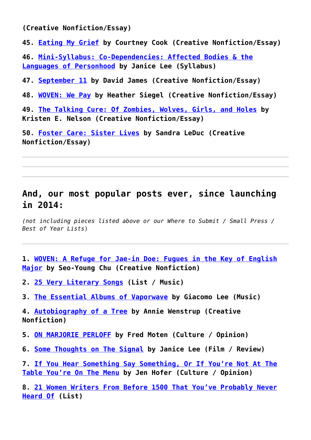**(Creative Nonfiction/Essay)**

**45. [Eating My Grief](https://entropymag.org/eating-my-grief/) by Courtney Cook (Creative Nonfiction/Essay)**

**46. [Mini-Syllabus: Co-Dependencies: Affected Bodies & the](https://entropymag.org/mini-syllabus-co-dependencies-affected-bodies-the-languages-of-personhood/) [Languages of Personhood](https://entropymag.org/mini-syllabus-co-dependencies-affected-bodies-the-languages-of-personhood/) by Janice Lee (Syllabus)**

**47. [September 11](https://entropymag.org/september-11/) by David James (Creative Nonfiction/Essay)**

**48. [WOVEN: We Pay](https://entropymag.org/woven-we-pay/) by Heather Siegel (Creative Nonfiction/Essay)**

**49. [The Talking Cure: Of Zombies, Wolves, Girls, and Holes](https://entropymag.org/the-talking-cure-of-zombies-wolves-girls-and-holes/) by Kristen E. Nelson (Creative Nonfiction/Essay)**

**50. [Foster Care: Sister Lives](https://entropymag.org/foster-care-sister-lives/) by Sandra LeDuc (Creative Nonfiction/Essay)**

## **And, our most popular posts ever, since launching in 2014:**

*(not including pieces listed above or our Where to Submit / Small Press / Best of Year Lists*)

- **1. [WOVEN: A Refuge for Jae-in Doe: Fugues in the Key of English](https://entropymag.org/a-refuge-for-jae-in-doe-fugues-in-the-key-of-english-major/) [Major](https://entropymag.org/a-refuge-for-jae-in-doe-fugues-in-the-key-of-english-major/) by Seo-Young Chu (Creative Nonfiction)**
- **2. [25 Very Literary Songs](https://entropymag.org/25-very-literary-songs/) (List / Music)**
- **3. [The Essential Albums of Vaporwave](https://entropymag.org/the-essential-albums-of-vaporwave/) by Giacomo Lee (Music)**
- **4. [Autobiography of a Tree](https://entropymag.org/autobiography-of-a-tree/) by Annie Wenstrup (Creative Nonfiction)**
- **5. [ON MARJORIE PERLOFF](https://entropymag.org/on-marjorie-perloff/) by Fred Moten (Culture / Opinion)**
- **6. [Some Thoughts on The Signal](https://entropymag.org/some-thoughts-on-the-signal/) by Janice Lee (Film / Review)**

**7. [If You Hear Something Say Something, Or If You're Not At The](https://entropymag.org/if-you-hear-something-say-something-or-if-youre-not-at-the-table-youre-on-the-menu/) [Table You're On The Menu](https://entropymag.org/if-you-hear-something-say-something-or-if-youre-not-at-the-table-youre-on-the-menu/) by Jen Hofer (Culture / Opinion)**

**8. [21 Women Writers From Before 1500 That You've Probably Never](https://entropymag.org/women-writers-from-before-1500-that-youve-probably-never-heard-of/) [Heard Of](https://entropymag.org/women-writers-from-before-1500-that-youve-probably-never-heard-of/) (List)**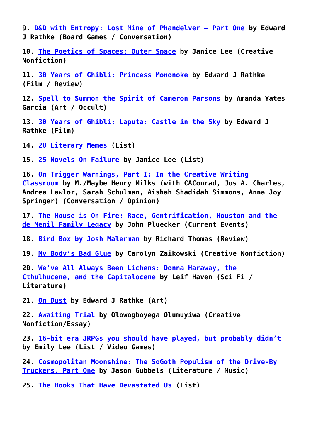**9. [D&D with Entropy: Lost Mine of Phandelver – Part One](https://entropymag.org/dd-with-entropy-lost-mine-of-phandelver-part-one/) by Edward J Rathke (Board Games / Conversation)**

**10. [The Poetics of Spaces: Outer Space](https://entropymag.org/the-poetics-of-space-outer-space/) by Janice Lee (Creative Nonfiction)**

**11. [30 Years of Ghibli: Princess Mononoke](https://entropymag.org/30-years-of-ghibli-princess-mononoke/) by Edward J Rathke (Film / Review)**

**12. [Spell to Summon the Spirit of Cameron Parsons](https://entropymag.org/spell-to-summon-the-spirit-of-cameron-parsons/) by Amanda Yates Garcia (Art / Occult)**

**13. [30 Years of Ghibli: Laputa: Castle in the Sky](https://entropymag.org/30-years-of-ghibli-laputa-castle-in-the-sky/) by Edward J Rathke (Film)**

**14. [20 Literary Memes](https://entropymag.org/20-literary-memes/) (List)**

**15. [25 Novels On Failure](https://entropymag.org/novels-on-failure/) by Janice Lee (List)**

**16. [On Trigger Warnings, Part I: In the Creative Writing](https://entropymag.org/on-trigger-warnings-part-i-in-the-creative-writing-classroom/) [Classroom](https://entropymag.org/on-trigger-warnings-part-i-in-the-creative-writing-classroom/) by M./Maybe Henry Milks (with CAConrad, Jos A. Charles, Andrea Lawlor, Sarah Schulman, Aishah Shadidah Simmons, Anna Joy Springer) (Conversation / Opinion)**

**17. [The House is On Fire: Race, Gentrification, Houston and the](https://entropymag.org/the-house-is-on-fire-race-gentrification-houston-and-the-de-menil-family-legacy/) [de Menil Family Legacy](https://entropymag.org/the-house-is-on-fire-race-gentrification-houston-and-the-de-menil-family-legacy/) by John Pluecker (Current Events)**

**18. [Bird Box](https://entropymag.org/bird-box-by-josh-malerman/) [by Josh Malerman](https://entropymag.org/bird-box-by-josh-malerman/) by Richard Thomas (Review)**

**19. [My Body's Bad Glue](https://entropymag.org/my-bodys-bad-glue/) by Carolyn Zaikowski (Creative Nonfiction)**

**20. [We've All Always Been Lichens: Donna Haraway, the](https://entropymag.org/weve-all-always-been-lichens-donna-haraway-the-cthulhucene-and-the-capitalocene/) [Cthulhucene, and the Capitalocene](https://entropymag.org/weve-all-always-been-lichens-donna-haraway-the-cthulhucene-and-the-capitalocene/) by Leif Haven (Sci Fi / Literature)**

**21. [On Dust](https://entropymag.org/on-dust/) by Edward J Rathke (Art)**

**22. [Awaiting Trial](https://entropymag.org/50633-2/) by Olowogboyega Olumuyiwa (Creative Nonfiction/Essay)**

**23. [16-bit era JRPGs you should have played, but probably didn't](https://entropymag.org/16-bit-era-jrpgs-you-should-have-played-but-probably-didnt/) by Emily Lee (List / Video Games)**

**24. [Cosmopolitan Moonshine: The SoGoth Populism of the Drive-By](https://entropymag.org/cosmopolitan-moonshine-the-sogoth-populism-of-the-drive-by-truckers-part-one/) [Truckers, Part One](https://entropymag.org/cosmopolitan-moonshine-the-sogoth-populism-of-the-drive-by-truckers-part-one/) by Jason Gubbels (Literature / Music)**

**25. [The Books That Have Devastated Us](https://entropymag.org/the-books-that-have-devastated-us/) (List)**